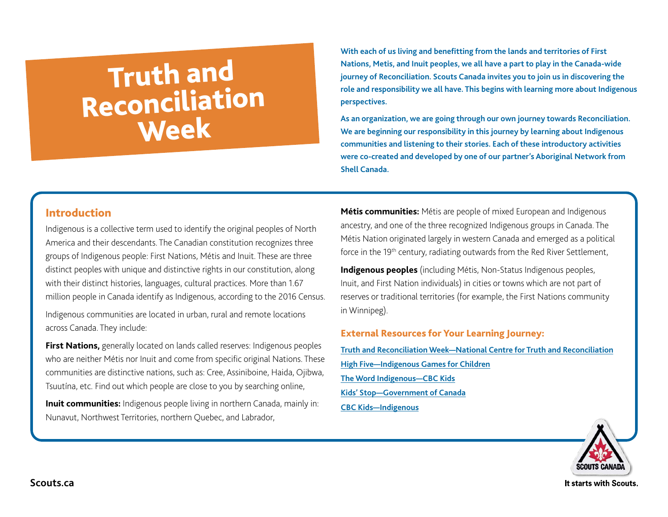# Truth and<br>Reconciliation<br>Week

**With each of us living and benefitting from the lands and territories of First Nations, Metis, and Inuit peoples, we all have a part to play in the Canada-wide journey of Reconciliation. Scouts Canada invites you to join us in discovering the role and responsibility we all have. This begins with learning more about Indigenous perspectives.**

**As an organization, we are going through our own journey towards Reconciliation. We are beginning our responsibility in this journey by learning about Indigenous communities and listening to their stories. Each of these introductory activities were co-created and developed by one of our partner's Aboriginal Network from Shell Canada.** 

#### Introduction

Indigenous is a collective term used to identify the original peoples of North America and their descendants. The Canadian constitution recognizes three groups of Indigenous people: First Nations, Métis and Inuit. These are three distinct peoples with unique and distinctive rights in our constitution, along with their distinct histories, languages, cultural practices. More than 1.67 million people in Canada identify as Indigenous, according to the 2016 Census.

Indigenous communities are located in urban, rural and remote locations across Canada. They include:

**First Nations,** generally located on lands called reserves: Indigenous peoples who are neither Métis nor Inuit and come from specific original Nations. These communities are distinctive nations, such as: Cree, Assiniboine, Haida, Ojibwa, Tsuutína, etc. Find out which people are close to you by searching online,

**Inuit communities:** Indigenous people living in northern Canada, mainly in: Nunavut, Northwest Territories, northern Quebec, and Labrador,

**Métis communities:** Métis are people of mixed European and Indigenous ancestry, and one of the three recognized Indigenous groups in Canada. The Métis Nation originated largely in western Canada and emerged as a political force in the 19<sup>th</sup> century, radiating outwards from the Red River Settlement,

**Indigenous peoples** (including Métis, Non-Status Indigenous peoples, Inuit, and First Nation individuals) in cities or towns which are not part of reserves or traditional territories (for example, the First Nations community in Winnipeg).

External Resources for Your Learning Journey:

**[Truth and Reconciliation Week—National Centre for Truth and Reconciliation](https://nctr.ca/education/truth-and-reconciliation-week/) [High Five—Indigenous Games for Children](https://www.nscrd.com/uploads/document/files/indigenous-games-for-children-en.pdf) [The Word Indigenous—CBC Kids](https://www.youtube.com/watch?v=CISeEFTsgDA) [Kids' Stop—Government of Canada](https://www.rcaanc-cirnac.gc.ca/eng/1315444613519/1534942257655) [CBC Kids—Indigenous](https://www.cbc.ca/kidscbc2/explore/indigenous)**

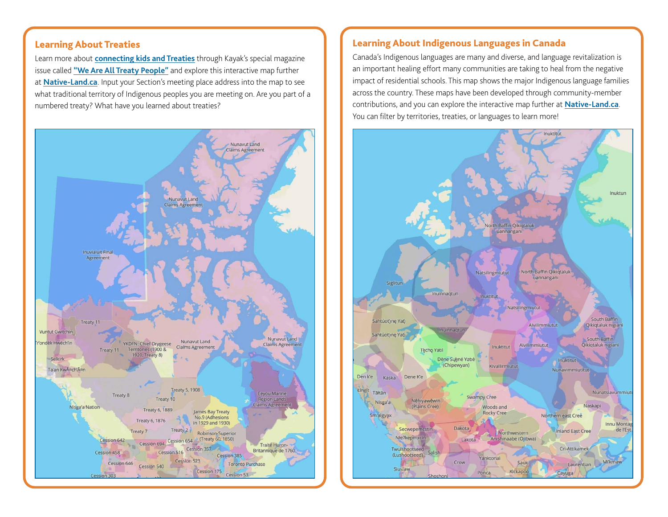#### Learning About Treaties

Learn more about **[connecting kids and Treaties](https://www.canadashistory.ca/explore/teaching/connecting-kids-and-treaties)** through Kayak's special magazine issue called **["We Are All Treaty People"](https://www.canadashistory.ca/education/kayak-in-the-classroom/treaties)** and explore this interactive map further at **[Native-Land.ca](https://native-land.ca/)**. Input your Section's meeting place address into the map to see what traditional territory of Indigenous peoples you are meeting on. Are you part of a numbered treaty? What have you learned about treaties?



#### Learning About Indigenous Languages in Canada

Canada's Indigenous languages are many and diverse, and language revitalization is an important healing effort many communities are taking to heal from the negative impact of residential schools. This map shows the major Indigenous language families across the country. These maps have been developed through community-member contributions, and you can explore the interactive map further at **[Native-Land.ca](https://native-land.ca/)**. You can filter by territories, treaties, or languages to learn more!

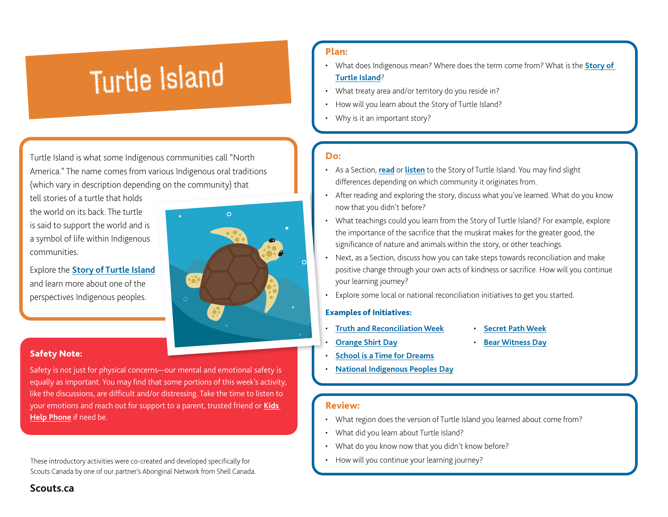## Turtle Island

Turtle Island is what some Indigenous communities call "North America." The name comes from various Indigenous oral traditions (which vary in description depending on the community) that

tell stories of a turtle that holds the world on its back. The turtle is said to support the world and is a symbol of life within Indigenous communities.

Explore the **[Story of Turtle Island](https://www.tvo.org/video/what-is-turtle-island)** and learn more about one of the perspectives Indigenous peoples.

#### Safety Note:

Safety is not just for physical concerns—our mental and emotional safety is equally as important. You may find that some portions of this week's activity, like the discussions, are difficult and/or distressing. Take the time to listen to your emotions and reach out for support to a parent, trusted friend or **[Kids](https://kidshelpphone.ca/)  [Help Phone](https://kidshelpphone.ca/)** if need be.

These introductory activities were co-created and developed specifically for **• Franklu** • How will you continue your learning journey? Scouts Canada by one of our partner's Aboriginal Network from Shell Canada.

#### Plan:

- What does Indigenous mean? Where does the term come from? What is the **[Story of](https://www.tvo.org/video/what-is-turtle-island)  [Turtle Island](https://www.tvo.org/video/what-is-turtle-island)**?
- What treaty area and/or territory do you reside in?
- How will you learn about the Story of Turtle Island?
- Why is it an important story?

#### Do:

- As a Section, **[read](https://www.cbc.ca/kidscbc2/the-feed/turtle-island-wheres-that)** or **[listen](https://www.cbc.ca/kidscbc2/the-feed/turtle-island-wheres-that)** to the Story of Turtle Island. You may find slight differences depending on which community it originates from.
- After reading and exploring the story, discuss what you've learned. What do you know now that you didn't before?
- What teachings could you learn from the Story of Turtle Island? For example, explore the importance of the sacrifice that the muskrat makes for the greater good, the significance of nature and animals within the story, or other teachings.
- Next, as a Section, discuss how you can take steps towards reconciliation and make positive change through your own acts of kindness or sacrifice. How will you continue your learning journey?
- Explore some local or national reconciliation initiatives to get you started.

#### Examples of Initiatives:

• **[Orange Shirt Day](https://www.orangeshirtday.org/about-us.html)**

- **[Truth and Reconciliation Week](https://nctr.ca/education/truth-and-reconciliation-week/)**
- **[Bear Witness Day](https://fncaringsociety.com/BearWitness)**

• **[Secret Path Week](https://downiewenjack.ca/our-work/secret-path-week/)**

- **[School is a Time for Dreams](https://fncaringsociety.com/school-time-dreams)**
- **[National Indigenous Peoples Day](https://www.rcaanc-cirnac.gc.ca/eng/1100100013248/1534872397533)**

#### Review:

- What region does the version of Turtle Island you learned about come from?
- What did you learn about Turtle Island?
- What do you know now that you didn't know before?
- 

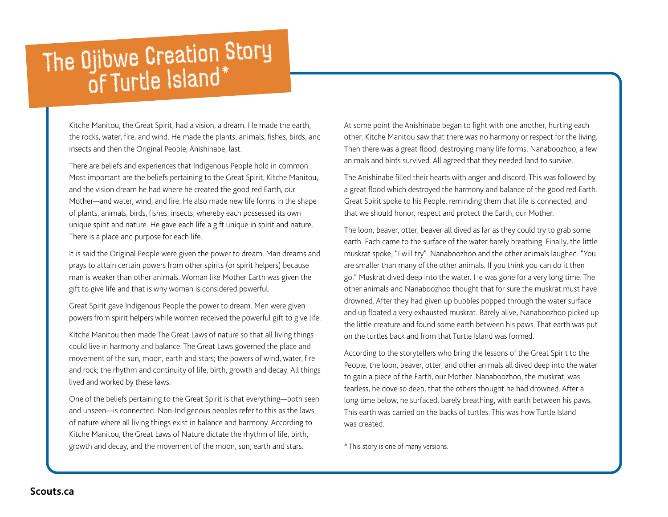## The Ojibwe Creation Story

Kitche Manitou, the Great Spirit, had a vision, a dream. He made the earth, the rocks, water, fire, and wind. He made the plants, animals, fishes, birds, and insects and then the Original People, Anishinabe, last.

There are beliefs and experiences that Indigenous People hold in common. Most important are the beliefs pertaining to the Great Spirit, Kitche Manitou, and the vision dream he had where he created the good red Earth, our Mother—and water, wind, and fire. He also made new life forms in the shape of plants, animals, birds, fishes, insects; whereby each possessed its own unique spirit and nature. He gave each life a gift unique in spirit and nature. There is a place and purpose for each life.

It is said the Original People were given the power to dream. Man dreams and prays to attain certain powers from other spirits (or spirit helpers) because man is weaker than other animals. Woman like Mother Earth was given the gift to give life and that is why woman is considered powerful.

Great Spirit gave Indigenous People the power to dream. Men were given powers from spirit helpers while women received the powerful gift to give life.

Kitche Manitou then made The Great Laws of nature so that all living things could live in harmony and balance. The Great Laws governed the place and movement of the sun, moon, earth and stars; the powers of wind, water, fire and rock; the rhythm and continuity of life, birth, growth and decay. All things lived and worked by these laws.

One of the beliefs pertaining to the Great Spirit is that everything—both seen and unseen—is connected. Non-Indigenous peoples refer to this as the laws of nature where all living things exist in balance and harmony. According to Kitche Manitou, the Great Laws of Nature dictate the rhythm of life, birth, growth and decay, and the movement of the moon, sun, earth and stars.

At some point the Anishinabe began to fight with one another, hurting each other. Kitche Manitou saw that there was no harmony or respect for the living. Then there was a great flood, destroying many life forms. Nanaboozhoo, a few animals and birds survived. All agreed that they needed land to survive.

The Anishinabe filled their hearts with anger and discord. This was followed by a great flood which destroyed the harmony and balance of the good red Earth. Great Spirit spoke to his People, reminding them that life is connected, and that we should honor, respect and protect the Earth, our Mother.

The loon, beaver, otter, beaver all dived as far as they could try to grab some earth. Each came to the surface of the water barely breathing. Finally, the little muskrat spoke, "I will try". Nanaboozhoo and the other animals laughed. "You are smaller than many of the other animals. If you think you can do it then go." Muskrat dived deep into the water. He was gone for a very long time. The other animals and Nanaboozhoo thought that for sure the muskrat must have drowned. After they had given up bubbles popped through the water surface and up floated a very exhausted muskrat. Barely alive, Nanaboozhoo picked up the little creature and found some earth between his paws. That earth was put on the turtles back and from that Turtle Island was formed.

According to the storytellers who bring the lessons of the Great Spirit to the People, the loon, beaver, otter, and other animals all dived deep into the water to gain a piece of the Earth, our Mother. Nanaboozhoo, the muskrat, was fearless; he dove so deep, that the others thought he had drowned. After a long time below, he surfaced, barely breathing, with earth between his paws. This earth was carried on the backs of turtles. This was how Turtle Island was created.

\* This story is one of many versions.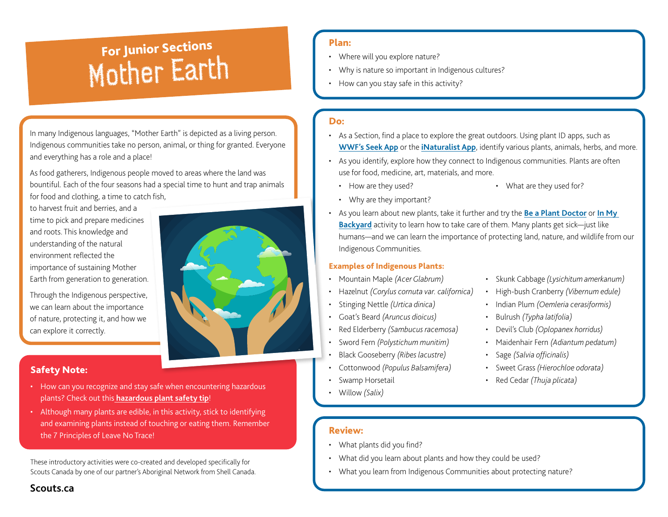### ever a turn of the solutions of the solutions of the solutions of the solutions of the solution of the solution<br>Mother Earth • How can you stay safe in this activity? For Junior Sections

In many Indigenous languages, "Mother Earth" is depicted as a living person. Indigenous communities take no person, animal, or thing for granted. Everyone and everything has a role and a place!

As food gatherers, Indigenous people moved to areas where the land was bountiful. Each of the four seasons had a special time to hunt and trap animals for food and clothing, a time to catch fish,

to harvest fruit and berries, and a time to pick and prepare medicines and roots. This knowledge and understanding of the natural environment reflected the importance of sustaining Mother Earth from generation to generation.

Through the Indigenous perspective, we can learn about the importance of nature, protecting it, and how we can explore it correctly.

#### Safety Note:

**Scouts.ca**

- How can you recognize and stay safe when encountering hazardous plants? Check out this **[hazardous plant safety tip](https://scoutsca.s3.amazonaws.com/2019/02/safetytip-aug2016-poison-ivy-hazardous-plants.pdf)**!
- Although many plants are edible, in this activity, stick to identifying and examining plants instead of touching or eating them. Remember the 7 Principles of Leave No Trace!

These introductory activities were co-created and developed specifically for Scouts Canada by one of our partner's Aboriginal Network from Shell Canada.

#### Plan:

- Where will you explore nature?
- 
- 

#### Do:

- As a Section, find a place to explore the great outdoors. Using plant ID apps, such as **[WWF's Seek App](https://www.wwf.org.uk/discover-nature-seek-app)** or the **[iNaturalist App](https://www.inaturalist.org/)**, identify various plants, animals, herbs, and more.
- As you identify, explore how they connect to Indigenous communities. Plants are often use for food, medicine, art, materials, and more.
- How are they used?

• What are they used for?

- Why are they important?
- As you learn about new plants, take it further and try the **[Be a Plant Doctor](https://www.scouts.ca/resources/activity-finder/activity-finder/be-a-plant-doctor.html)** or **[In My](https://www.scouts.ca/resources/activity-finder/in-my-backyard.html)  [Backyard](https://www.scouts.ca/resources/activity-finder/in-my-backyard.html)** activity to learn how to take care of them. Many plants get sick—just like humans—and we can learn the importance of protecting land, nature, and wildlife from our Indigenous Communities.

#### Examples of Indigenous Plants:

- Mountain Maple *(Acer Glabrum)*
- Hazelnut *(Corylus cornuta var. californica)*
- Stinging Nettle *(Urtica dinica)*
- Goat's Beard *(Aruncus dioicus)*
- Red Elderberry *(Sambucus racemosa)*
- Sword Fern *(Polystichum munitim)*
- Black Gooseberry *(Ribes lacustre)*
- Cottonwood *(Populus Balsamifera)*
- Swamp Horsetail
- Willow *(Salix)*
- Skunk Cabbage *(Lysichitum amerkanum)*
- High-bush Cranberry *(Vibernum edule)*
- Indian Plum *(Oemleria cerasiformis)*
- Bulrush *(Typha latifolia)*
- Devil's Club *(Oplopanex horridus)*
- Maidenhair Fern *(Adiantum pedatum)*
- Sage *(Salvia officinalis)*
- Sweet Grass *(Hierochloe odorata)*
- Red Cedar *(Thuja plicata[\)](https://fncaringsociety.com/BearWitness)*

- 
- What plants did you find?
- What did you learn about plants and how they could be used?
- What you learn from Indigenous Communities about protecting nature?

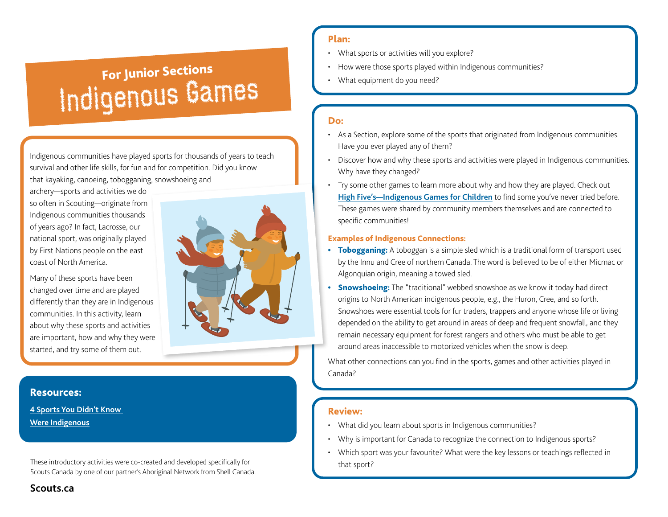## **Indigenous Games** For Junior Sections

Indigenous communities have played sports for thousands of years to teach survival and other life skills, for fun and for competition. Did you know that kayaking, canoeing, tobogganing, snowshoeing and

archery—sports and activities we do so often in Scouting—originate from Indigenous communities thousands of years ago? In fact, Lacrosse, our national sport, was originally played by First Nations people on the east coast of North America.

Many of these sports have been changed over time and are played differently than they are in Indigenous communities. In this activity, learn about why these sports and activities are important, how and why they were started, and try some of them out.



#### Resources:

**[4 Sports You Didn't Know](https://www.cbc.ca/kidscbc2/the-feed/four-winter-activities-you-may-not-know-are-indigenous)  [Were Indigenous](https://www.cbc.ca/kidscbc2/the-feed/four-winter-activities-you-may-not-know-are-indigenous)**

These introductory activities were co-created and developed specifically for Scouts Canada by one of our partner's Aboriginal Network from Shell Canada.

#### Plan:

- What sports or activities will you explore?
- How were those sports played within Indigenous communities?
- 

- As a Section, explore some of the sports that originated from Indigenous communities. Have you ever played any of them?
- Discover how and why these sports and activities were played in Indigenous communities. Why have they changed?
- Try some other games to learn more about why and how they are played. Check out **[High Five's—Indigenous Games for Children](https://www.nscrd.com/uploads/document/files/indigenous-games-for-children-en.pdf)** to find some you've never tried before. These games were shared by community members themselves and are connected to specific communities!

#### Examples of Indigenous Connections:

- Tobogganing: A toboggan is a simple sled which is a traditional form of transport used by the Innu and Cree of northern Canada. The word is believed to be of either Micmac or Algonquian origin, meaning a towed sled.
- Snowshoeing: The "traditional" webbed snowshoe as we know it today had direct origins to North American indigenous people, e.g., the Huron, Cree, and so forth. Snowshoes were essential tools for fur traders, trappers and anyone whose life or living depended on the ability to get around in areas of deep and frequent snowfall, and they remain necessary equipment for forest rangers and others who must be able to get around areas inaccessible to motorized vehicles when the snow is deep.

What other connections can you find in the sports, games and other activities played in Canada[?](https://fncaringsociety.com/BearWitness)

#### Review:

- What did you learn about sports in Indigenous communities?
- Why is important for Canada to recognize the connection to Indigenous sports?
- Which sport was your favourite? What were the key lessons or teachings reflected in that sport?

**Scouts.ca**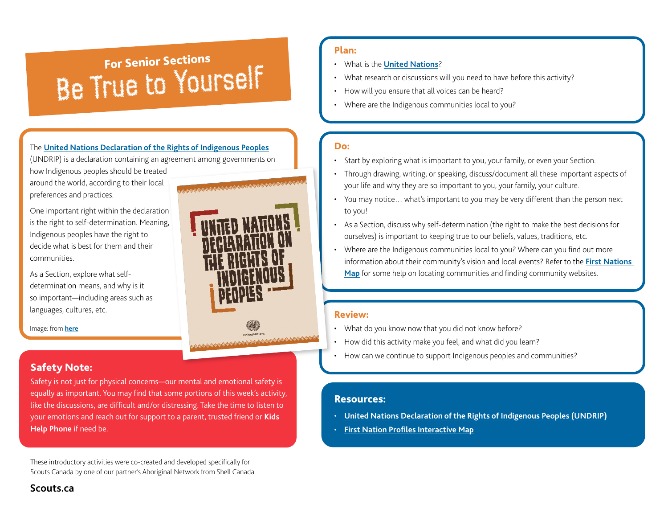## **FRICH IS HOW What is the <u>United Nations</u>**<br>• What research or discussions will you need to have be True to Asize to Asize to Asize to Asize to Asize to Asize to Asize to Asize to Asize to Asize to Asize to Asize to Asize For Senior Sections

#### The **[United Nations Declaration of the Rights of Indigenous Peoples](http://files.unicef.org/policyanalysis/rights/files/HRBAP_UN_Rights_Indig_Peoples.pdf)**

(UNDRIP) is a declaration containing an agreement among governments on

how Indigenous peoples should be treated around the world, according to their local preferences and practices.

One important right within the declaration is the right to self-determination. Meaning, Indigenous peoples have the right to decide what is best for them and their communities.

As a Section, explore what selfdetermination means, and why is it so important—including areas such as languages, cultures, etc.

Image: from **[here](https://www.un.org/development/desa/indigenouspeoples/declaration-on-the-rights-of-indigenous-peoples.html)**

#### Safety Note:

**Scouts.ca**

Safety is not just for physical concerns—our mental and emotional safety is equally as important. You may find that some portions of this week's activity, like the discussions, are difficult and/or distressing. Take the time to listen to your emotions and reach out for support to a parent, trusted friend or **[Kids](https://kidshelpphone.ca/)  [Help Phone](https://kidshelpphone.ca/)** if need be.

These introductory activities were co-created and developed specifically for Scouts Canada by one of our partner's Aboriginal Network from Shell Canada.

#### Plan:

- What is the **[United Nations](https://www.un.org/en/)**?
- What research or discussions will you need to have before this activity?
- 
- 

#### Do:

- Start by exploring what is important to you, your family, or even your Section.
- Through drawing, writing, or speaking, discuss/document all these important aspects of your life and why they are so important to you, your family, your culture.
- You may notice… what's important to you may be very different than the person next to you!
- As a Section, discuss why self-determination (the right to make the best decisions for ourselves) is important to keeping true to our beliefs, values, traditions, etc.
- Where are the Indigenous communities local to you? Where can you find out more information about their community's vision and local events? Refer to the **[First Nations](https://geo.aadnc-aandc.gc.ca/cippn-fnpim/index-eng.html)  [Map](https://geo.aadnc-aandc.gc.ca/cippn-fnpim/index-eng.html)** for some help on locating communities and finding community websites.

#### Review:

- What do you know now that you did not know before?
- How did this activity make you feel, and what did you learn?
- How can we continue to support Indigenous peoples and communities?

#### Resources:

- **[United Nations Declaration of the Rights of Indigenous Peoples \(UNDRIP\)](http://files.unicef.org/policyanalysis/rights/files/HRBAP_UN_Rights_Indig_Peoples.pdf)**
- **[First Nation Profiles Interactive Map](https://geo.aadnc-aandc.gc.ca/cippn-fnpim/index-eng.html)**